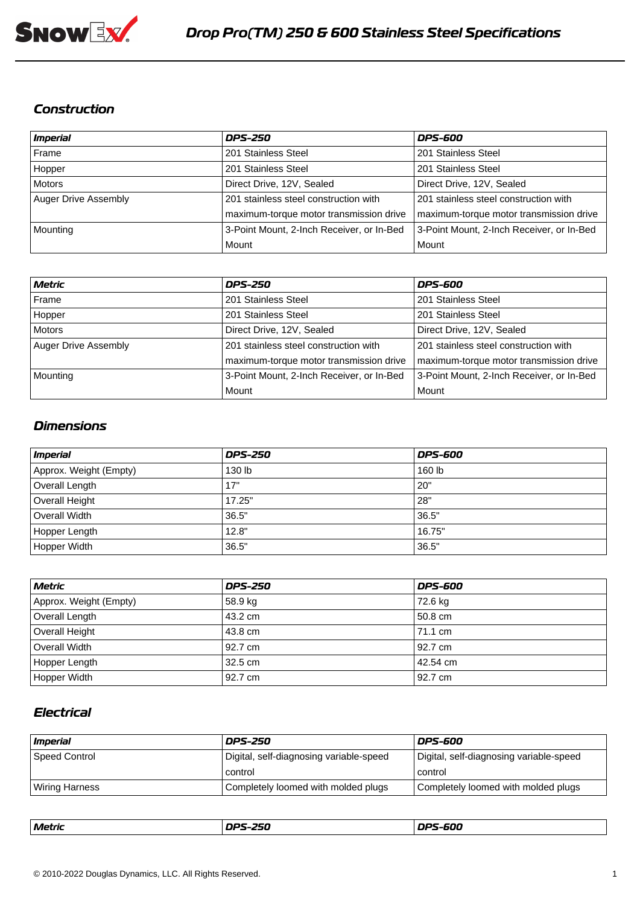

#### *Construction*

| Imperial             | <b>DPS-250</b>                            | <b>DPS-600</b>                            |
|----------------------|-------------------------------------------|-------------------------------------------|
| Frame                | 201 Stainless Steel                       | 201 Stainless Steel                       |
| Hopper               | 201 Stainless Steel                       | 201 Stainless Steel                       |
| Motors               | Direct Drive, 12V, Sealed                 | Direct Drive, 12V, Sealed                 |
| Auger Drive Assembly | 201 stainless steel construction with     | 201 stainless steel construction with     |
|                      | maximum-torque motor transmission drive   | maximum-torque motor transmission drive   |
| Mounting             | 3-Point Mount, 2-Inch Receiver, or In-Bed | 3-Point Mount, 2-Inch Receiver, or In-Bed |
|                      | Mount                                     | l Mount                                   |

| Metric               | <b>DPS-250</b>                            | <b>DPS-600</b>                            |
|----------------------|-------------------------------------------|-------------------------------------------|
| Frame                | 201 Stainless Steel                       | 201 Stainless Steel                       |
| Hopper               | 201 Stainless Steel                       | 201 Stainless Steel                       |
| Motors               | Direct Drive, 12V, Sealed                 | Direct Drive, 12V, Sealed                 |
| Auger Drive Assembly | 201 stainless steel construction with     | 201 stainless steel construction with     |
|                      | maximum-torque motor transmission drive   | maximum-torque motor transmission drive   |
| Mounting             | 3-Point Mount, 2-Inch Receiver, or In-Bed | 3-Point Mount, 2-Inch Receiver, or In-Bed |
|                      | Mount                                     | Mount                                     |

#### *Dimensions*

| <i>Imperial</i>        | <b>DPS-250</b> | <b>DPS-600</b> |
|------------------------|----------------|----------------|
| Approx. Weight (Empty) | 130 lb         | 160 lb         |
| Overall Length         | 17"            | 20"            |
| Overall Height         | 17.25"         | 28"            |
| Overall Width          | 36.5"          | 36.5"          |
| Hopper Length          | 12.8"          | 16.75"         |
| Hopper Width           | 36.5"          | 36.5"          |

| Metric                 | <b>DPS-250</b> | DPS-600    |
|------------------------|----------------|------------|
| Approx. Weight (Empty) | 58.9 kg        | 72.6 kg    |
| Overall Length         | 43.2 cm        | l 50.8 cm  |
| Overall Height         | 143.8 cm       | 171.1 cm   |
| Overall Width          | 192.7 cm       | l 92.7 cm  |
| Hopper Length          | 32.5 cm        | l 42.54 cm |
| Hopper Width           | 192.7 cm       | l 92.7 cm  |

## *Electrical*

| <i>Imperial</i> | <b>DPS-250</b>                          | <b>DPS-600</b>                          |
|-----------------|-----------------------------------------|-----------------------------------------|
| Speed Control   | Digital, self-diagnosing variable-speed | Digital, self-diagnosing variable-speed |
|                 | control                                 | control                                 |
| Wiring Harness  | Completely loomed with molded plugs     | Completely loomed with molded plugs     |

|  | nne 5ee<br>Metrir<br>--- |  | ,nc caa<br>-000 |
|--|--------------------------|--|-----------------|
|--|--------------------------|--|-----------------|